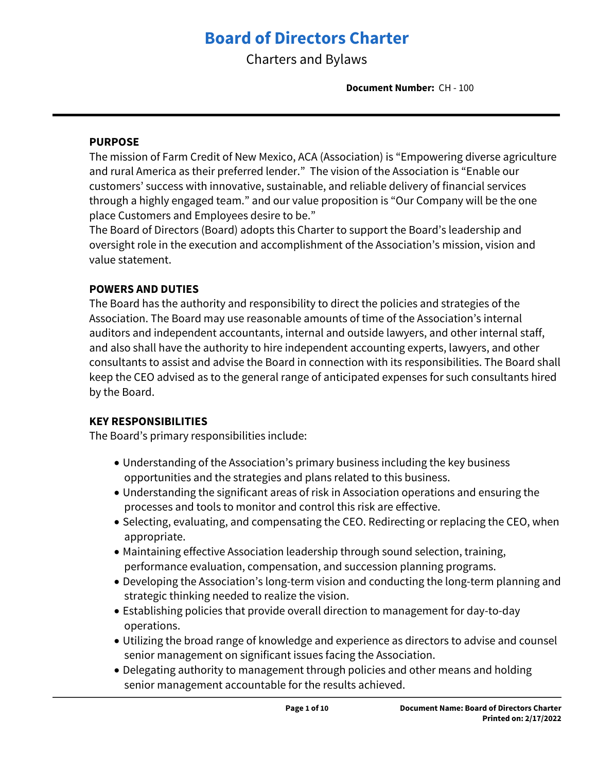# **Board of Directors Charter**

Charters and Bylaws

**Document Number:** CH - 100

### **PURPOSE**

The mission of Farm Credit of New Mexico, ACA (Association) is "Empowering diverse agriculture and rural America as their preferred lender." The vision of the Association is "Enable our customers' success with innovative, sustainable, and reliable delivery of financial services through a highly engaged team." and our value proposition is "Our Company will be the one place Customers and Employees desire to be."

The Board of Directors (Board) adopts this Charter to support the Board's leadership and oversight role in the execution and accomplishment of the Association's mission, vision and value statement.

## **POWERS AND DUTIES**

The Board has the authority and responsibility to direct the policies and strategies of the Association. The Board may use reasonable amounts of time of the Association's internal auditors and independent accountants, internal and outside lawyers, and other internal staff, and also shall have the authority to hire independent accounting experts, lawyers, and other consultants to assist and advise the Board in connection with its responsibilities. The Board shall keep the CEO advised as to the general range of anticipated expenses for such consultants hired by the Board.

### **KEY RESPONSIBILITIES**

The Board's primary responsibilities include:

- Understanding of the Association's primary business including the key business opportunities and the strategies and plans related to this business.
- Understanding the significant areas of risk in Association operations and ensuring the processes and tools to monitor and control this risk are effective.
- Selecting, evaluating, and compensating the CEO. Redirecting or replacing the CEO, when appropriate.
- Maintaining effective Association leadership through sound selection, training, performance evaluation, compensation, and succession planning programs.
- Developing the Association's long-term vision and conducting the long-term planning and strategic thinking needed to realize the vision.
- Establishing policies that provide overall direction to management for day-to-day operations.
- Utilizing the broad range of knowledge and experience as directors to advise and counsel senior management on significant issues facing the Association.
- Delegating authority to management through policies and other means and holding senior management accountable for the results achieved.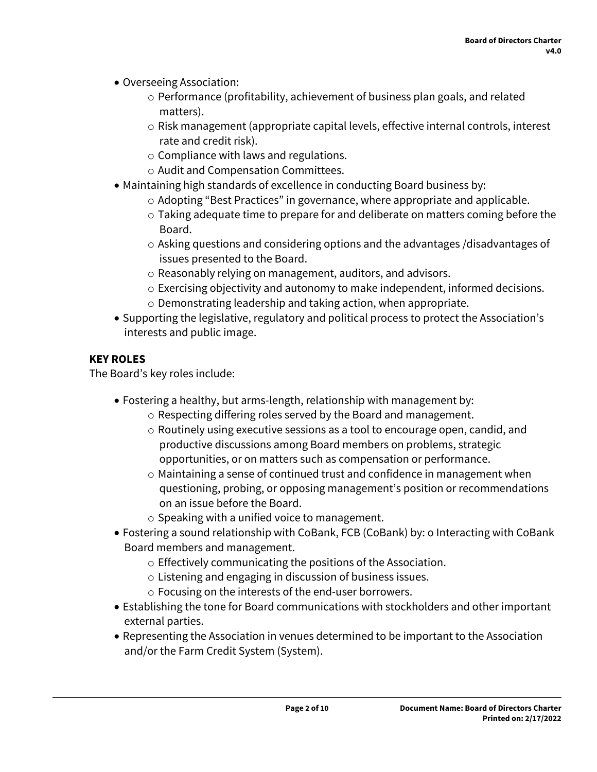- Overseeing Association:
	- $\circ$  Performance (profitability, achievement of business plan goals, and related matters).
	- o Risk management (appropriate capital levels, effective internal controls, interest rate and credit risk).
	- o Compliance with laws and regulations.
	- o Audit and Compensation Committees.
- Maintaining high standards of excellence in conducting Board business by:
	- o Adopting "Best Practices" in governance, where appropriate and applicable.
	- o Taking adequate time to prepare for and deliberate on matters coming before the Board.
	- o Asking questions and considering options and the advantages /disadvantages of issues presented to the Board.
	- o Reasonably relying on management, auditors, and advisors.
	- o Exercising objectivity and autonomy to make independent, informed decisions.
	- o Demonstrating leadership and taking action, when appropriate.
- Supporting the legislative, regulatory and political process to protect the Association's interests and public image.

# **KEY ROLES**

The Board's key roles include:

- Fostering a healthy, but arms-length, relationship with management by:
	- o Respecting differing roles served by the Board and management.
	- o Routinely using executive sessions as a tool to encourage open, candid, and productive discussions among Board members on problems, strategic opportunities, or on matters such as compensation or performance.
	- o Maintaining a sense of continued trust and confidence in management when questioning, probing, or opposing management's position or recommendations on an issue before the Board.
	- o Speaking with a unified voice to management.
- Fostering a sound relationship with CoBank, FCB (CoBank) by: o Interacting with CoBank Board members and management.
	- o Effectively communicating the positions of the Association.
	- o Listening and engaging in discussion of business issues.
	- o Focusing on the interests of the end-user borrowers.
- Establishing the tone for Board communications with stockholders and other important external parties.
- Representing the Association in venues determined to be important to the Association and/or the Farm Credit System (System).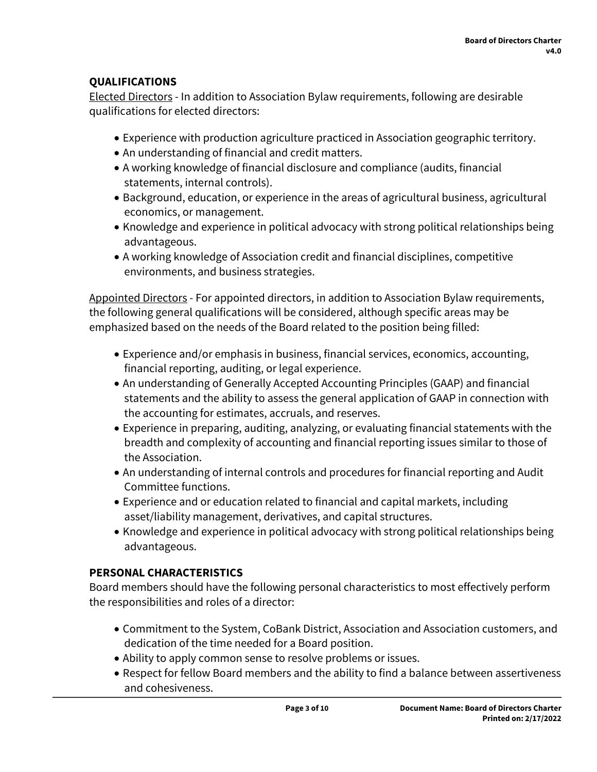# **QUALIFICATIONS**

Elected Directors - In addition to Association Bylaw requirements, following are desirable qualifications for elected directors:

- Experience with production agriculture practiced in Association geographic territory.
- An understanding of financial and credit matters.
- A working knowledge of financial disclosure and compliance (audits, financial statements, internal controls).
- Background, education, or experience in the areas of agricultural business, agricultural economics, or management.
- Knowledge and experience in political advocacy with strong political relationships being advantageous.
- A working knowledge of Association credit and financial disciplines, competitive environments, and business strategies.

Appointed Directors - For appointed directors, in addition to Association Bylaw requirements, the following general qualifications will be considered, although specific areas may be emphasized based on the needs of the Board related to the position being filled:

- Experience and/or emphasis in business, financial services, economics, accounting, financial reporting, auditing, or legal experience.
- An understanding of Generally Accepted Accounting Principles (GAAP) and financial statements and the ability to assess the general application of GAAP in connection with the accounting for estimates, accruals, and reserves.
- Experience in preparing, auditing, analyzing, or evaluating financial statements with the breadth and complexity of accounting and financial reporting issues similar to those of the Association.
- An understanding of internal controls and procedures for financial reporting and Audit Committee functions.
- Experience and or education related to financial and capital markets, including asset/liability management, derivatives, and capital structures.
- Knowledge and experience in political advocacy with strong political relationships being advantageous.

# **PERSONAL CHARACTERISTICS**

Board members should have the following personal characteristics to most effectively perform the responsibilities and roles of a director:

- Commitment to the System, CoBank District, Association and Association customers, and dedication of the time needed for a Board position.
- Ability to apply common sense to resolve problems or issues.
- Respect for fellow Board members and the ability to find a balance between assertiveness and cohesiveness.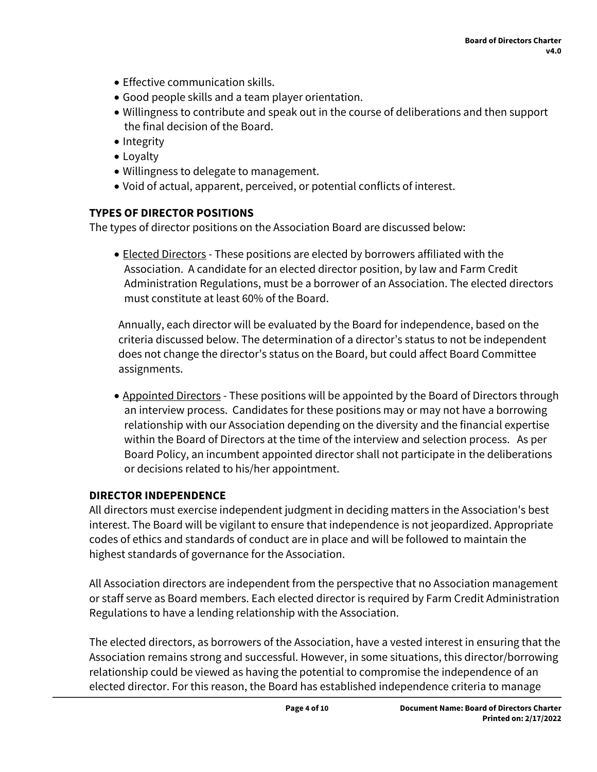- Effective communication skills.
- Good people skills and a team player orientation.
- Willingness to contribute and speak out in the course of deliberations and then support the final decision of the Board.
- Integrity
- Loyalty
- Willingness to delegate to management.
- Void of actual, apparent, perceived, or potential conflicts of interest.

# **TYPES OF DIRECTOR POSITIONS**

The types of director positions on the Association Board are discussed below:

 Elected Directors - These positions are elected by borrowers affiliated with the Association. A candidate for an elected director position, by law and Farm Credit Administration Regulations, must be a borrower of an Association. The elected directors must constitute at least 60% of the Board.

Annually, each director will be evaluated by the Board for independence, based on the criteria discussed below. The determination of a director's status to not be independent does not change the director's status on the Board, but could affect Board Committee assignments.

• Appointed Directors - These positions will be appointed by the Board of Directors through an interview process. Candidates for these positions may or may not have a borrowing relationship with our Association depending on the diversity and the financial expertise within the Board of Directors at the time of the interview and selection process. As per Board Policy, an incumbent appointed director shall not participate in the deliberations or decisions related to his/her appointment.

# **DIRECTOR INDEPENDENCE**

All directors must exercise independent judgment in deciding matters in the Association's best interest. The Board will be vigilant to ensure that independence is not jeopardized. Appropriate codes of ethics and standards of conduct are in place and will be followed to maintain the highest standards of governance for the Association.

All Association directors are independent from the perspective that no Association management or staff serve as Board members. Each elected director is required by Farm Credit Administration Regulations to have a lending relationship with the Association.

The elected directors, as borrowers of the Association, have a vested interest in ensuring that the Association remains strong and successful. However, in some situations, this director/borrowing relationship could be viewed as having the potential to compromise the independence of an elected director. For this reason, the Board has established independence criteria to manage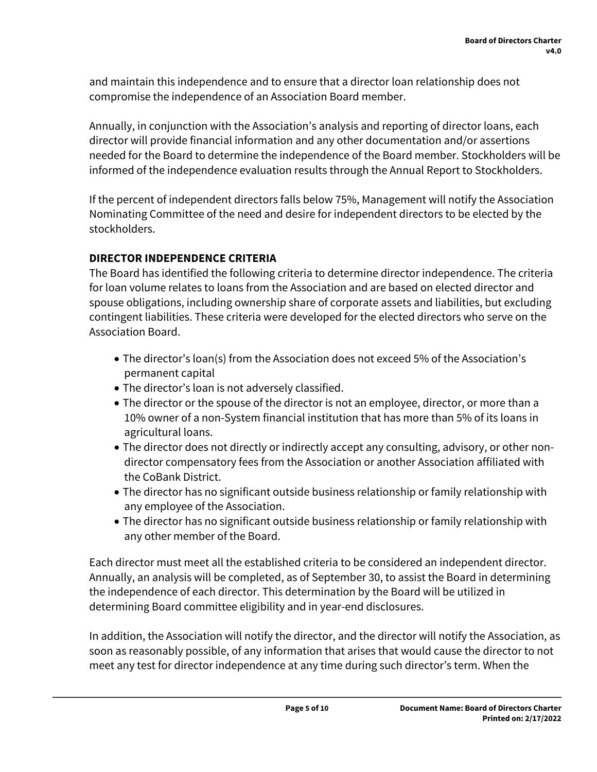and maintain this independence and to ensure that a director loan relationship does not compromise the independence of an Association Board member.

Annually, in conjunction with the Association's analysis and reporting of director loans, each director will provide financial information and any other documentation and/or assertions needed for the Board to determine the independence of the Board member. Stockholders will be informed of the independence evaluation results through the Annual Report to Stockholders.

If the percent of independent directors falls below 75%, Management will notify the Association Nominating Committee of the need and desire for independent directors to be elected by the stockholders.

# **DIRECTOR INDEPENDENCE CRITERIA**

The Board has identified the following criteria to determine director independence. The criteria for loan volume relates to loans from the Association and are based on elected director and spouse obligations, including ownership share of corporate assets and liabilities, but excluding contingent liabilities. These criteria were developed for the elected directors who serve on the Association Board.

- The director's loan(s) from the Association does not exceed 5% of the Association's permanent capital
- The director's loan is not adversely classified.
- The director or the spouse of the director is not an employee, director, or more than a 10% owner of a non-System financial institution that has more than 5% of its loans in agricultural loans.
- The director does not directly or indirectly accept any consulting, advisory, or other nondirector compensatory fees from the Association or another Association affiliated with the CoBank District.
- The director has no significant outside business relationship or family relationship with any employee of the Association.
- The director has no significant outside business relationship or family relationship with any other member of the Board.

Each director must meet all the established criteria to be considered an independent director. Annually, an analysis will be completed, as of September 30, to assist the Board in determining the independence of each director. This determination by the Board will be utilized in determining Board committee eligibility and in year-end disclosures.

In addition, the Association will notify the director, and the director will notify the Association, as soon as reasonably possible, of any information that arises that would cause the director to not meet any test for director independence at any time during such director's term. When the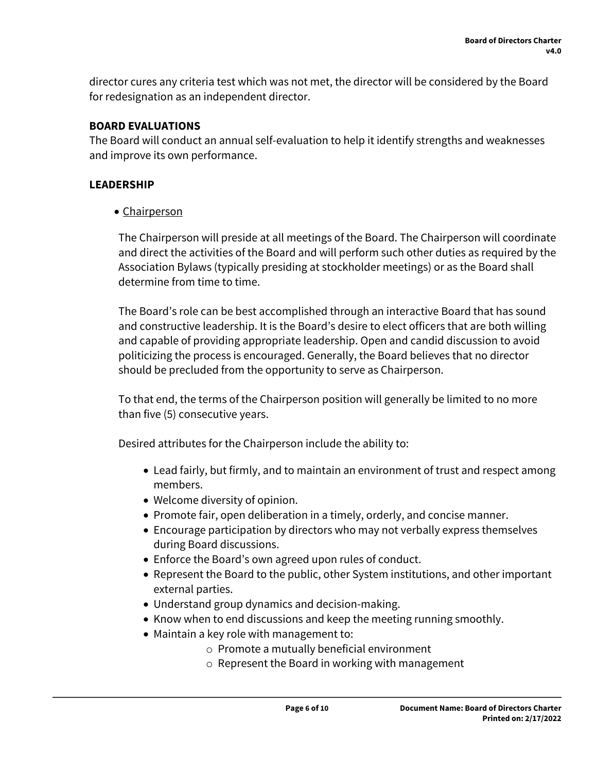director cures any criteria test which was not met, the director will be considered by the Board for redesignation as an independent director.

# **BOARD EVALUATIONS**

The Board will conduct an annual self-evaluation to help it identify strengths and weaknesses and improve its own performance.

## **LEADERSHIP**

• Chairperson

The Chairperson will preside at all meetings of the Board. The Chairperson will coordinate and direct the activities of the Board and will perform such other duties as required by the Association Bylaws (typically presiding at stockholder meetings) or as the Board shall determine from time to time.

The Board's role can be best accomplished through an interactive Board that has sound and constructive leadership. It is the Board's desire to elect officers that are both willing and capable of providing appropriate leadership. Open and candid discussion to avoid politicizing the process is encouraged. Generally, the Board believes that no director should be precluded from the opportunity to serve as Chairperson.

To that end, the terms of the Chairperson position will generally be limited to no more than five (5) consecutive years.

Desired attributes for the Chairperson include the ability to:

- Lead fairly, but firmly, and to maintain an environment of trust and respect among members.
- Welcome diversity of opinion.
- Promote fair, open deliberation in a timely, orderly, and concise manner.
- Encourage participation by directors who may not verbally express themselves during Board discussions.
- Enforce the Board's own agreed upon rules of conduct.
- Represent the Board to the public, other System institutions, and other important external parties.
- Understand group dynamics and decision-making.
- Know when to end discussions and keep the meeting running smoothly.
- Maintain a key role with management to:
	- o Promote a mutually beneficial environment
	- o Represent the Board in working with management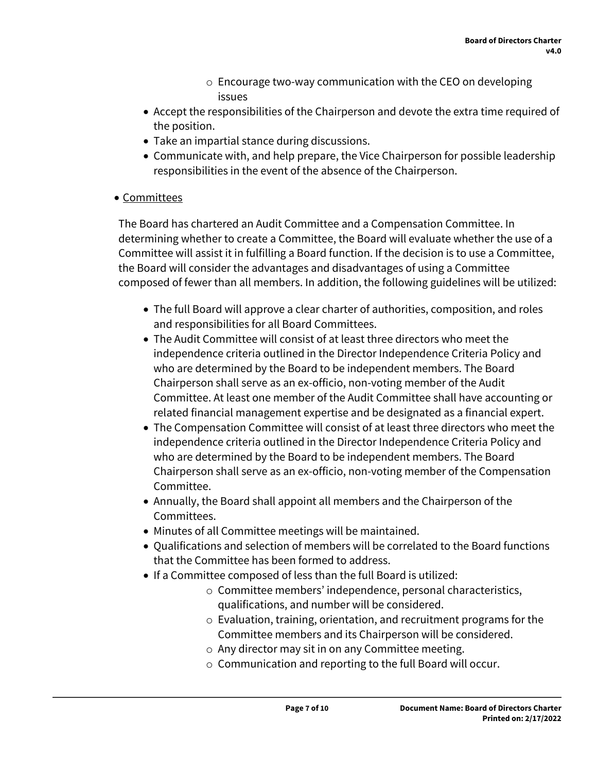- o Encourage two-way communication with the CEO on developing issues
- Accept the responsibilities of the Chairperson and devote the extra time required of the position.
- Take an impartial stance during discussions.
- Communicate with, and help prepare, the Vice Chairperson for possible leadership responsibilities in the event of the absence of the Chairperson.
- Committees

The Board has chartered an Audit Committee and a Compensation Committee. In determining whether to create a Committee, the Board will evaluate whether the use of a Committee will assist it in fulfilling a Board function. If the decision is to use a Committee, the Board will consider the advantages and disadvantages of using a Committee composed of fewer than all members. In addition, the following guidelines will be utilized:

- The full Board will approve a clear charter of authorities, composition, and roles and responsibilities for all Board Committees.
- The Audit Committee will consist of at least three directors who meet the independence criteria outlined in the Director Independence Criteria Policy and who are determined by the Board to be independent members. The Board Chairperson shall serve as an ex-officio, non-voting member of the Audit Committee. At least one member of the Audit Committee shall have accounting or related financial management expertise and be designated as a financial expert.
- The Compensation Committee will consist of at least three directors who meet the independence criteria outlined in the Director Independence Criteria Policy and who are determined by the Board to be independent members. The Board Chairperson shall serve as an ex-officio, non-voting member of the Compensation Committee.
- Annually, the Board shall appoint all members and the Chairperson of the Committees.
- Minutes of all Committee meetings will be maintained.
- Qualifications and selection of members will be correlated to the Board functions that the Committee has been formed to address.
- If a Committee composed of less than the full Board is utilized:
	- o Committee members' independence, personal characteristics, qualifications, and number will be considered.
	- o Evaluation, training, orientation, and recruitment programs for the Committee members and its Chairperson will be considered.
	- o Any director may sit in on any Committee meeting.
	- o Communication and reporting to the full Board will occur.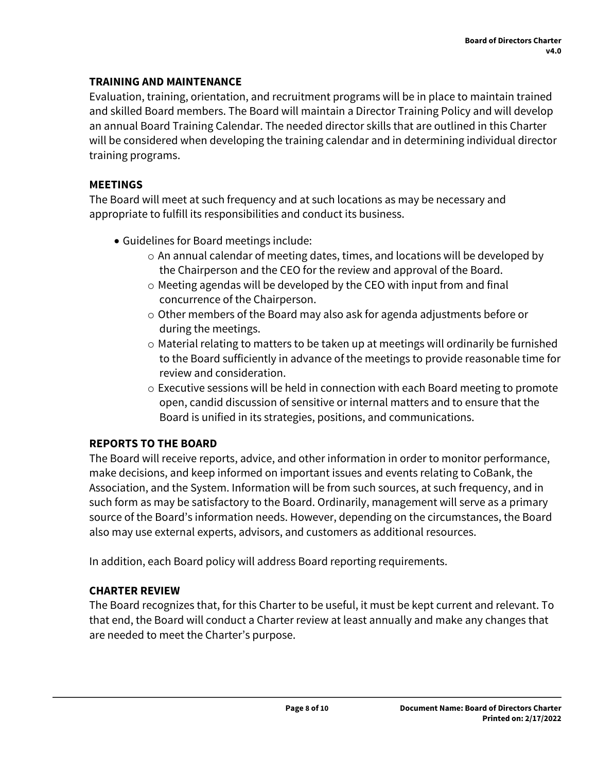## **TRAINING AND MAINTENANCE**

Evaluation, training, orientation, and recruitment programs will be in place to maintain trained and skilled Board members. The Board will maintain a Director Training Policy and will develop an annual Board Training Calendar. The needed director skills that are outlined in this Charter will be considered when developing the training calendar and in determining individual director training programs.

## **MEETINGS**

The Board will meet at such frequency and at such locations as may be necessary and appropriate to fulfill its responsibilities and conduct its business.

- Guidelines for Board meetings include:
	- o An annual calendar of meeting dates, times, and locations will be developed by the Chairperson and the CEO for the review and approval of the Board.
	- o Meeting agendas will be developed by the CEO with input from and final concurrence of the Chairperson.
	- o Other members of the Board may also ask for agenda adjustments before or during the meetings.
	- o Material relating to matters to be taken up at meetings will ordinarily be furnished to the Board sufficiently in advance of the meetings to provide reasonable time for review and consideration.
	- $\circ$  Executive sessions will be held in connection with each Board meeting to promote open, candid discussion of sensitive or internal matters and to ensure that the Board is unified in its strategies, positions, and communications.

# **REPORTS TO THE BOARD**

The Board will receive reports, advice, and other information in order to monitor performance, make decisions, and keep informed on important issues and events relating to CoBank, the Association, and the System. Information will be from such sources, at such frequency, and in such form as may be satisfactory to the Board. Ordinarily, management will serve as a primary source of the Board's information needs. However, depending on the circumstances, the Board also may use external experts, advisors, and customers as additional resources.

In addition, each Board policy will address Board reporting requirements.

# **CHARTER REVIEW**

The Board recognizes that, for this Charter to be useful, it must be kept current and relevant. To that end, the Board will conduct a Charter review at least annually and make any changes that are needed to meet the Charter's purpose.